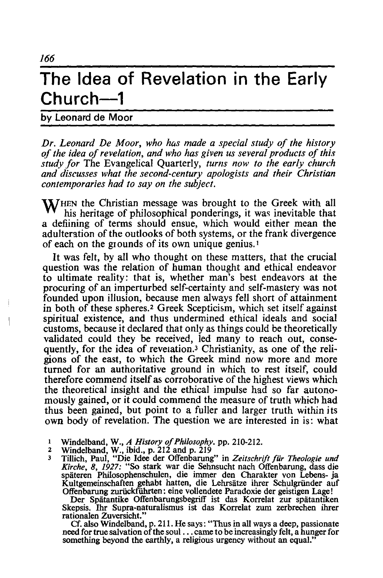## **The Idea of Revelation in the Early Church-1**

by Leonard de Moor

*Dr. Leonard De Moor, who hus made a special study of the history C?f the idea of revelation, and who has given us several products of this study for* The Evangelical Quarterly, *turns now to the early church and discusses what the second-century apologists and their Christian contemporaries had to say on the subject.* 

**W**HEN the Christian message was brought to the Greek with all his heritage of philosophical ponderings, it was inevitable that a defiining of terms should ensue, which would either mean the adulteration of the outlooks of both systems, or the frank divergence of each on the grounds of its own unique genius.<sup>1</sup>

It was felt, by all who thought on these matters, that the crucial question was the relation of human thought and ethical endeavor to ultimate reality: that is, whether man's best endeavors at the procuring of an imperturbed self-certainty and self-mastery was not founded upon illusion, because men always fell short of attainment in both of these spheres.<sup>2</sup> Greek Scepticism, which set itself against spiritual existence, and thus undermined ethical ideals and social customs, because it declared that only as things could be theoretically validated could they be received, led many to reach out, consequently, for the idea of revelation.3 Christianity, as one of the religions of the east, to which the Greek mind now more and more turned for an authoritative ground in which to rest itself, could therefore commend itself as corroborative of the highest views which the theoretical insight and the ethical impulse had so far autonomously gained, or it could commend the measure of truth which had thus been gained, but point to a fuller and larger truth within its own body of revelation. The question we are interested in is: what

- 1 Windelband, W., *A History of Philosophy.* pp. 210-212. 2 Windelband, W., ibid., p. 212 and p. 219
- 
- 3 Tillich, Paul, "Die Idee der Offenbarung" in *Zeitschrift fur Theologie und Kirche,* 8, 1927: "So stark war die Sehnsucht nach Offenbarung, dass die späteren Philosophenschulen, die immer den Charakter von Lebens- ja Kultgemeinschaften gehabt hatten, die Lehrsätze ihrer Schulgründer auf Offenbarung zurückführten: eine vollendete Paradoxie der geistigen Lage!

Der Spätantike Offenbarungsbegriff ist das Korrelat zur spätantiken Skepsis. Ihr Supra-naturalismus ist das Korrelat zum zerbrechen ihrer rationalen Zuversicht."

Cf. also Windelband, p. 211. He says: "Thus in all ways a deep, passionate need for true salvation of the soul ... came to be increasingly felt, a hunger for something beyond the earthly, a religious urgency without an equal."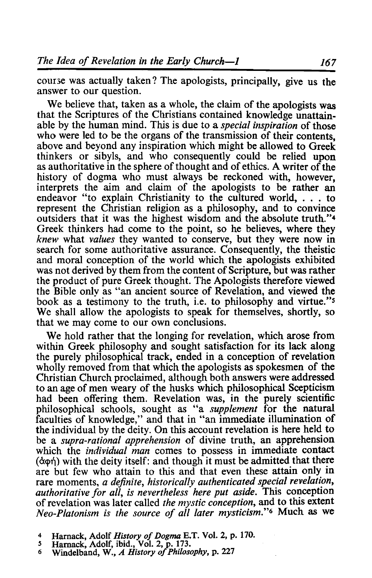course was actually taken? The apologists, principally, give us the answer to our question.

We believe that, taken as a whole, the claim of the apologists was that the Scriptures of the Christians contained knowledge unattainable by the human mind. This is due to a *special inspiration* of those who were led to be the organs of the transmission of their contents. above and beyond any inspiration which might be allowed to Greek thinkers or sibyls, and who consequently could be relied upon as authoritative in the sphere of thought and of ethics. A writer of the history of dogma who must always be reckoned with, however, interprets the aim and claim of the apologists to be rather an endeavor "to explain Christianity to the cultured world, . . . to represent the Christian religion as a philosophy, and to convince outsiders that it was the highest wisdom and the absolute truth."4 Greek thinkers had come to the point, so he believes, where they *knew* what *values* they wanted to conserve, but they were now in search for some authoritative assurance. Consequently, the theistic and moral conception of the world which the apologists exhibited was not derived by them from the content of Scripture, but was rather the product of pure Greek thought. The Apologists therefore viewed the Bible onlv as "an ancient source of Revelation, and viewed the book as a testimony to the truth, i.e. to philosophy and virtue."s We shall allow the apologists to speak for themselves, shortly, so that we may come to our own conclusions.

We hold rather that the longing for revelation, which arose from within Greek philosophy and sought satisfaction for its lack along the purely philosophical track, ended in a conception of revelation wholly removed from that which the apologists as spokesmen of the Christian Church proclaimed, although both answers were addressed to an age of men weary of the husks which philosophical Scepticism had been offering them. Revelation was, in the purely scientific philosophical schools, sought as "a *supplement* for the natural faculties of knowledge," and that in "an immediate illumination of the individual by the deity. On this account revelation is here held to be a *supra-rational apprehension* of divine truth, an apprehension which the *individual man* comes to possess in immediate contact  $(\dot{\alpha} \phi \dot{\eta})$  with the deity itself: and though it must be admitted that there are but few who attain to this and that even these attain only in rare moments, *a definite*, *historically authenticated special revelation*, *authoritative for all, is nevertheless here put aside.* This conception of revelation was later called *the mystic conception,* and to this extent *Neo-Platonism is the source of all later mysticism."6* Much as we

- 4 Harnack, Adolf *History of Dogma* B.T. Vol. 2, p. 170.
- 
- 5 Harnack, Adolf, ibid., Vol. 2, p. 173. 6 Windelband, W., *A History of Philosophy,* p. 227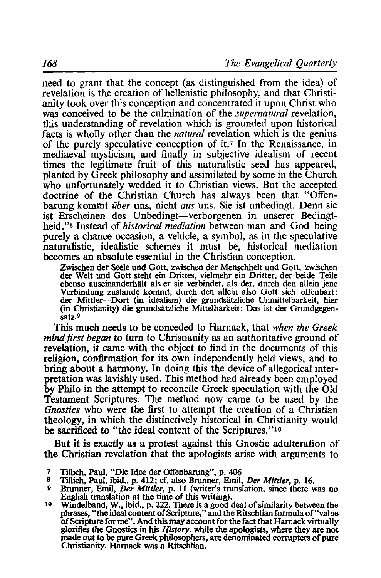need to grant that the concept (as distinguished from the idea) of revelation is the creation of hellenistic philosophy, and that Christianity took over this conception and concentrated it upon Christ who was conceived to be the culmination of the *supernatural* revelation, this understanding of revelation which is grounded upon historical facts is wholly other than the *natural* revelation which is the genius of the purely speculative conception of it.<sup>7</sup> In the Renaissance, in mediaeval mysticism, and finally in subjective idealism of recent times the legitimate fruit of this naturalistic seed has appeared, planted by Greek philosophy and assimilated by some in the Church who unfortunately wedded it to Christian views. But the accepted doctrine of the Christian Church has always been that "Offenbarung kommt *uber* uns, nicht *aus* uns. Sie ist unbedingt. Denn sie ist Erscheinen des Unbedingt-verborgenen in unserer Bedingtheid."8 Instead of *historical mediation* between man and God being purely a chance occasion, a vehicle, a symbol, as in the speculative naturalistic, idealistic schemes it must be, historical mediation becomes an absolute essential in the Christian conception.

Zwischen der Seele und Gott, zwischen der Menschheit und Gott, zwischen der Welt und Gott steht ein Drittes, vielmehr ein Dritter, der beide Teile ebenso auseinanderhält als er sie verbindet, als der, durch den allein jene Verbindung zustande kommt, durch den allein also Gott sich offenbart: der Mittler-Dort (in idealism) die grundsatzliche Unmittelbarkeit, hier (in Christianity) die grundsiitzliche Mitte1barkeit: Das ist der Grundgegensatz.9

This much needs to be conceded to Harnack, that *when the Greek*  mind first began to turn to Christianity as an authoritative ground of revelation, it came with the object to find in the documents of this religion, confirmation for its own independently held views, and to bring about a harmony. In doing this the device of allegorical interpretation was lavishly used. This method had already been employed by Philo in the attempt to reconcile Greek speculation with the Old Testament Scriptures. The method now came to be used by the *Gnostics* who were the first to attempt the creation of a Christian theology, in which the distinctively historical in Christianity would be sacrificed to "the ideal content of the Scriptures."<sup>10</sup>

But it is exactly as a protest against this Gnostic adulteration of the Christian revelation that the apologists arise with arguments to

- 7 Tillich, Paul, "Die Idee der Offenbarung", p. 406<br>8 Tillich, Paul, ibid, p. 412; cf. also Brunner, Emil
- 8 Tillich, Paul, ibid., p. 412; cf. also Brunner, Emil, *Der Mitt/er,* p. 16.
- 
- Brunder, Emilish translation at the time of this writing).<br><sup>10</sup> Windelband, W., ibid., p. 222. There is a good deal of similarity between the phrases, "the ideal content of Scripture," and the Ritschlian formula of "value of Scripture for me" . And this may account for the fact that Harnack virtually glorifies the Gnostics in his *History.* while the apologists, where they are not made out to be pure Greek philosophers, are denominated corrupters of pure Christianity. Harnack was a Ritschlian.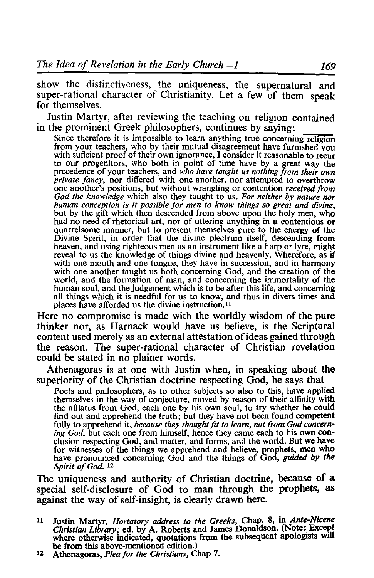show the distinctiveness, the uniqueness, the supernatural and super-rational character of Christianity. Let a few of them speak for themselves.

Justin Martyr, aftet reviewing the teaching on religion contained in the prominent Greek philosophers, continues by saying:

Since therefore it is impossible to learn anything true concerning religion from your teachers, who by their mutual disagreement have furnished you with suficient proof of their own ignorance, I consider it reasonable to recur to our progenitors, who both in point of time have by a great way the precedence of your teachers, and who have taught us nothing from their own private fancy, nor differed with one another, nor attempted to overthrow<br>one another's positions, but without wrangling or contention received from<br>God the knowledge which also they taught to us. For neither by nature nor *human conception is it possible for men to know things so great and divine,* but by the gift which then descended from above upon the holy men, who had no need of rhetorical art, nor of uttering anything in a contentious or quarrelsome manner, but to present themselves pure to the energy of the Divine Spirit, in order that the divine plectrum itself, descending from heaven, and using righteous men as an instrument like a harp or lyre, might reveal to us the knowledge of things divine and heavenly. Wherefore, as if with one mouth and one tongue, they have in succession, and in harmony with one another taught us both concerning God, and the creation of the world, and the formation of man, and concerning the immortality of the human soul, and the judgement which is to be after this life, and concerning all things which it is needful for us to know, and thus in divers times and places have afforded us the divine instruction.<sup>11</sup>

Here no compromise is made with the worldly wisdom of the pure thinker nor, as Harnack would have us believe, is the Scriptural content used merely as an external attestation of ideas gained through the reason. The super-rational character of Christian revelation could be stated in no plainer words.

Athenagoras is at one with Justin when, in speaking about the superiority of the Christian doctrine respecting God, he says that

Poets and philosophers, as to other subjects so also to this, have applied themselves in the way of conjecture, moved by reason of their affinity with the affiatus from God, each one by his own soul, to try whether he could find out and apprehend the truth; but they have not been found competent fully to apprehend it, *because they thought fit to learn*, *not from God concern*ing God, but each one from himself, hence they came each to his own conclusion respecting God, and matter, and forms, and the world. But we have for witnesses of the things we apprehend and believe, prophets, men who have pronounced concerning God and the things of God, *guided by the Spirit of God. 12* 

The uniqueness and authority of Christian doctrine, because of a special self-disclosure of God to man through the prophets, as against the way of self-insight, is clearly drawn here.

11 Justin Martyr, *Hortatory address to the Greeks,* Chap. 8, in *Ante-Nicene Christian Library;* ed. by A. Roberts and James DonaIdson. (Note:. Except where otherwise indicated, quotations from the subsequent apologists will be from this above-mentioned edition.)

be from this above-mentioned edition.) 12 Athenagoras, *Pleafor the Christians,* Chap 7.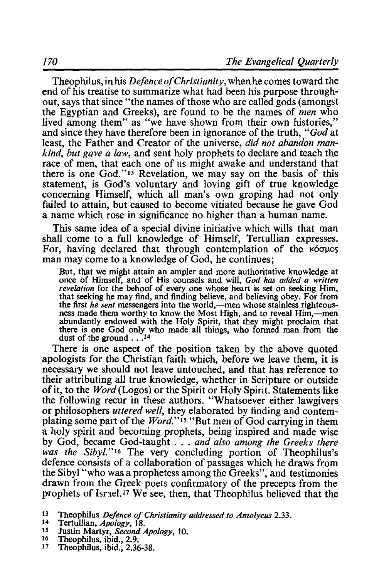Theophilus, in his *Defence of Christianity,* when he comes toward the end of his treatise to summarize what had been his purpose throughout, says that since "the names of those who are called gods (amongst the Egyptian and Greeks), are found to be the names of *men* who lived among them" as "we have shown from their own histories." and since they have therefore been in ignorance of the truth, *"God* at least, the Father and Creator of the universe, *did not abandon mankind, but gave a law,* and sent holy prophets to declare and teach the race of men, that each one of us might awake and understand that there is one God." 13 Revelation, we may say on the basis of this statement, is God's voluntary and loving gift of true knowledge concerning Himself, which all man's own groping had not only failed to attain, but caused to become vitiated because he gave God a name which rose in significance no higher than a human name.

This same idea of a special divine initiative which wills that man shall come to a full knowledge of Himself, Tertullian expresses. For, having declared that through contemplation of the  $\kappa$ <sup>6</sup> $\sigma$  $\mu$ os man may come to a knowledge of God, he continues;

But, that we might attain an ampler and more authoritative knowledge at once of Himself, and of His counsels and will, *God has added a written revelation* for the behoof of every one whose heart is set on seeking Him, that seeking he may find, and finding believe, and believing obey. For from the first *he sent* messengers into the world,—men whose stainless righteous-<br>ness made them worthy to know the Most High, and to reveal Him,—men abundantly endowed with the Holy Spirit, that they might proclaim that there is one God only who made all things, who formed man from the dust of the ground . . .<sup>14</sup>

There is one aspect of the position taken by the above quoted apologists for the Christian faith which, before we leave them, it is necessary we should not leave untouched, and that has reference to their attributing all true knowledge, whether in Scripture or outside of it, to the *Word* (Logos) or the Spirit or Holy Spirit. Statements like the following recur in these authors. "Whatsoever either lawgivers or philosophers *uttered well,* they elaborated by finding and contemplating some part of the *Word."* 15 "But men of God carrying in them a holy spirit and becoming prophets, being inspired and made wise by God, became God-taught ... *and also among the Greeks there was the Sibyl."16* The very concluding portion of Theophilus's defence consists of a collaboration of passages which he draws from the Sibyl "who was a prophetess among the Greeks", and testimonies drawn from the Greek poets confirmatory of the precepts from the prophets of Israel.<sup>17</sup> We see, then, that Theophilus believed that the

- 
- 
- 
- 

<sup>&</sup>lt;sup>13</sup> Theophilus *Defence of Christianity addressed to Antolycus* 2.33.<br><sup>14</sup> Justin Martyr, *Second Apology*, 10.<br><sup>15</sup> Justin Martyr, *Second Apology*, 10.<br><sup>16</sup> Theophilus, ibid., 2.9.<br><sup>17</sup> Theophilus, ibid., 2.36-38.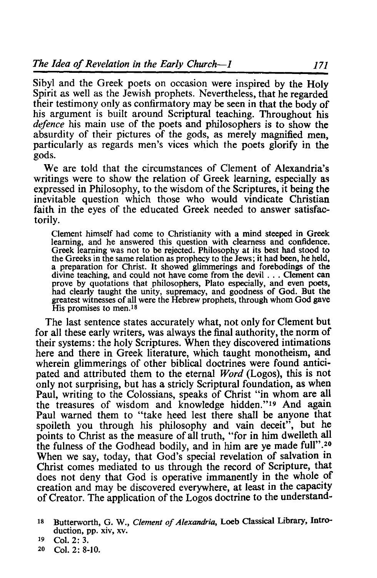Sibyl and the Greek poets on occasion were inspired by the Holy Spirit as well as the Jewish prophets. Nevertheless, that he regarded their testimony only as confirmatory may be seen in that the body of his argument is built around Scriptural teaching. Throughout his *defence* his main use of the poets and philosophers is to show the absurdity of their pictures of the gods, as merely magnified men, particularly as regards men's vices which the poets glorify in the gods.

We are told that the circumstances of Clement of Alexandria's writings were to show the relation of Greek learning, especially as expressed in Philosophy, to the wisdom of the Scriptures, it being the inevitable question which those who would vindicate Christian faith in the eyes of the educated Greek needed to answer satisfactorily.

Clement himself had come to Christianity with a mind steeped in Greek learning, and he answered this question with clearness and confidence. Greek learning was not to be rejected. Philosophy at its best had stood to the Greeks in the same relation as prophecy to the Jews; it had been, he held, a preparation for Christ. It showed glimmerings and forebodings of the divine teaching, and could not have come from the devil . . . Clement can prove by quotations that philosophers, Plato especially, and even poets, had clearly taught the unity, supremacy, and goodness of God. But the greatest witnesses of all were the Hebrew prophets, through whom God gave His promises to men.<sup>18</sup>

The last sentence states accurately what, not only for Clement but for all these early writers, was always the final authority, the norm of their systems: the holy Scriptures. When they discovered intimations here and there in Greek literature, which taught monotheism, and wherein glimmerings of other biblical doctrines were found anticipated and attributed them to the eternal *Word* (Logos), this is not only not surprising, but has a stricly Scriptural foundation, as when Paul, writing to the Colossians, speaks of Christ "in whom are all the treasures of wisdom and knowledge hidden."19 And again Paul warned them to "take heed lest there shall be anyone that spoileth you through his philosophy and vain deceit", but he points to Christ as the measure of all truth, "for in him dwelleth all the fulness of the Godhead bodily, and in him are ye made full" .20 When we say, today, that God's special revelation of salvation in Christ comes mediated to us through the record of Scripture, that does not deny that God is operative immanently in the whole of creation and may be discovered everywhere, at least in the capacity of Creator. The application of the Logos doctrine to the understand-

20 Col. 2: 8-10.

<sup>18</sup> Butterworth, G. W., *Clement of Alexandria,* Loeb Classical Library, Introduction, pp. xiv, xv.

<sup>19</sup> Col. 2: 3.